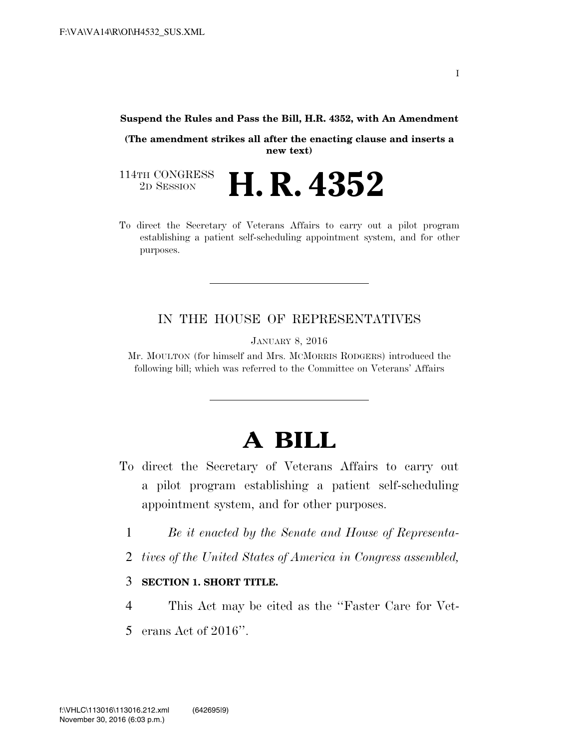#### **Suspend the Rules and Pass the Bill, H.R. 4352, with An Amendment**

**(The amendment strikes all after the enacting clause and inserts a new text)** 

114TH CONGRESS<br>2D SESSION 2D SESSION **H. R. 4352** 

To direct the Secretary of Veterans Affairs to carry out a pilot program establishing a patient self-scheduling appointment system, and for other purposes.

#### IN THE HOUSE OF REPRESENTATIVES

JANUARY 8, 2016

Mr. MOULTON (for himself and Mrs. MCMORRIS RODGERS) introduced the following bill; which was referred to the Committee on Veterans' Affairs

## **A BILL**

- To direct the Secretary of Veterans Affairs to carry out a pilot program establishing a patient self-scheduling appointment system, and for other purposes.
	- 1 *Be it enacted by the Senate and House of Representa-*
	- 2 *tives of the United States of America in Congress assembled,*

#### 3 **SECTION 1. SHORT TITLE.**

4 This Act may be cited as the ''Faster Care for Vet-5 erans Act of 2016''.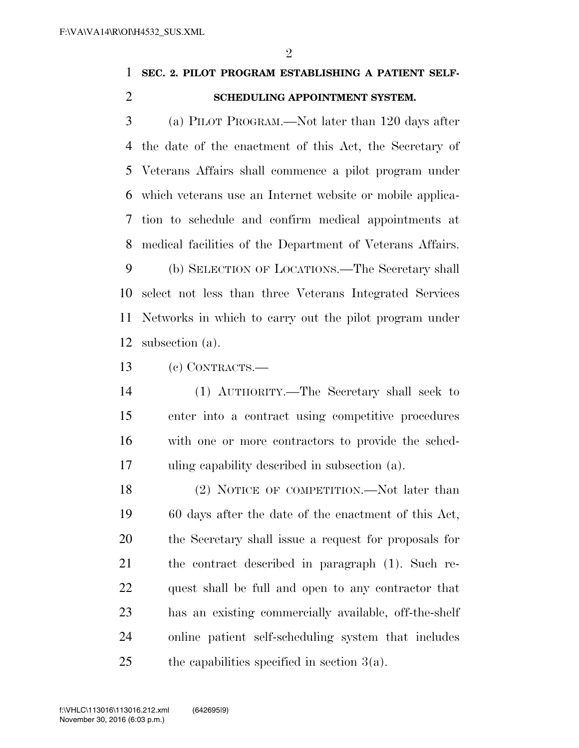$\mathfrak{D}$ 

### **SEC. 2. PILOT PROGRAM ESTABLISHING A PATIENT SELF-SCHEDULING APPOINTMENT SYSTEM.**

 (a) PILOT PROGRAM.—Not later than 120 days after the date of the enactment of this Act, the Secretary of Veterans Affairs shall commence a pilot program under which veterans use an Internet website or mobile applica- tion to schedule and confirm medical appointments at medical facilities of the Department of Veterans Affairs.

 (b) SELECTION OF LOCATIONS.—The Secretary shall select not less than three Veterans Integrated Services Networks in which to carry out the pilot program under subsection (a).

(c) CONTRACTS.—

 (1) AUTHORITY.—The Secretary shall seek to enter into a contract using competitive procedures with one or more contractors to provide the sched-uling capability described in subsection (a).

18 (2) NOTICE OF COMPETITION.—Not later than 60 days after the date of the enactment of this Act, the Secretary shall issue a request for proposals for the contract described in paragraph (1). Such re- quest shall be full and open to any contractor that has an existing commercially available, off-the-shelf online patient self-scheduling system that includes 25 the capabilities specified in section  $3(a)$ .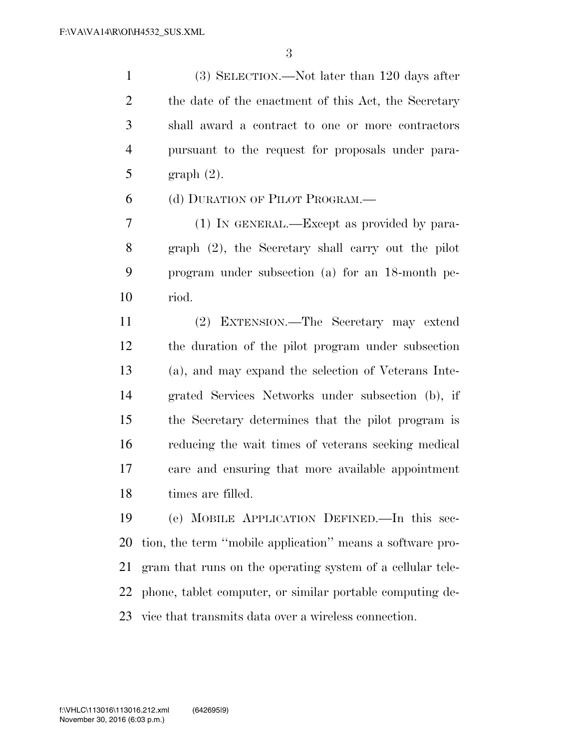(3) SELECTION.—Not later than 120 days after 2 the date of the enactment of this Act, the Secretary shall award a contract to one or more contractors pursuant to the request for proposals under para-graph (2).

(d) DURATION OF PILOT PROGRAM.—

 (1) IN GENERAL.—Except as provided by para- graph (2), the Secretary shall carry out the pilot program under subsection (a) for an 18-month pe-riod.

 (2) EXTENSION.—The Secretary may extend the duration of the pilot program under subsection (a), and may expand the selection of Veterans Inte- grated Services Networks under subsection (b), if the Secretary determines that the pilot program is reducing the wait times of veterans seeking medical care and ensuring that more available appointment times are filled.

 (e) MOBILE APPLICATION DEFINED.—In this sec- tion, the term ''mobile application'' means a software pro- gram that runs on the operating system of a cellular tele- phone, tablet computer, or similar portable computing de-vice that transmits data over a wireless connection.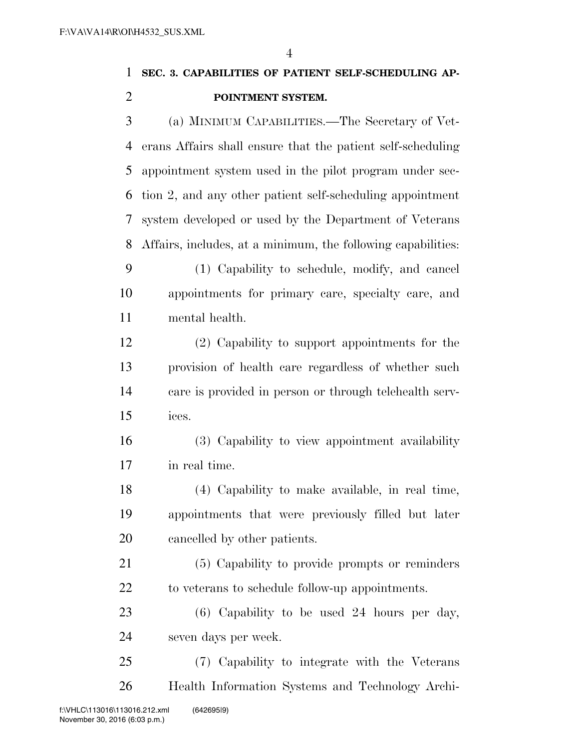# **SEC. 3. CAPABILITIES OF PATIENT SELF-SCHEDULING AP- POINTMENT SYSTEM.**  (a) MINIMUM CAPABILITIES.—The Secretary of Vet- erans Affairs shall ensure that the patient self-scheduling appointment system used in the pilot program under sec- tion 2, and any other patient self-scheduling appointment system developed or used by the Department of Veterans Affairs, includes, at a minimum, the following capabilities: (1) Capability to schedule, modify, and cancel

 appointments for primary care, specialty care, and mental health.

 (2) Capability to support appointments for the provision of health care regardless of whether such care is provided in person or through telehealth serv-ices.

 (3) Capability to view appointment availability in real time.

 (4) Capability to make available, in real time, appointments that were previously filled but later cancelled by other patients.

 (5) Capability to provide prompts or reminders to veterans to schedule follow-up appointments.

 (6) Capability to be used 24 hours per day, seven days per week.

 (7) Capability to integrate with the Veterans Health Information Systems and Technology Archi-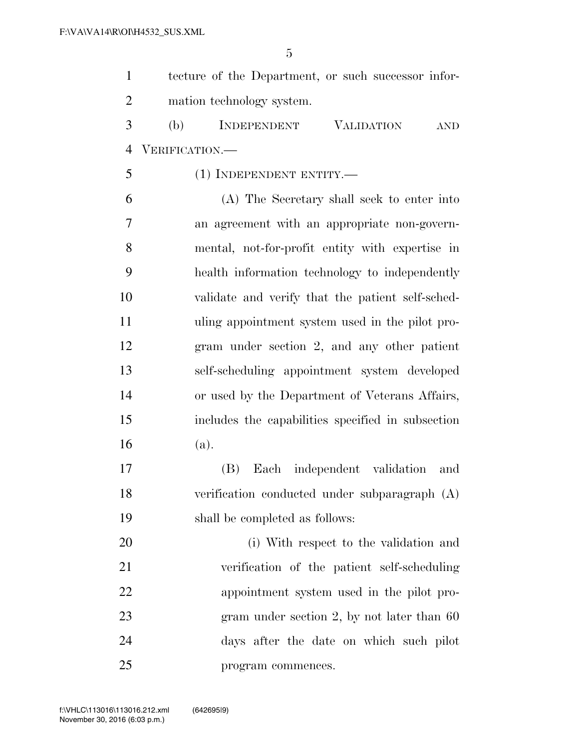| $\mathbf{1}$   | tecture of the Department, or such successor infor-   |
|----------------|-------------------------------------------------------|
| $\overline{2}$ | mation technology system.                             |
| 3              | (b)<br>INDEPENDENT<br><b>VALIDATION</b><br><b>AND</b> |
| $\overline{4}$ | VERIFICATION.—                                        |
| 5              | (1) INDEPENDENT ENTITY.—                              |
| 6              | (A) The Secretary shall seek to enter into            |
| 7              | an agreement with an appropriate non-govern-          |
| 8              | mental, not-for-profit entity with expertise in       |
| 9              | health information technology to independently        |
| 10             | validate and verify that the patient self-sched-      |
| 11             | uling appointment system used in the pilot pro-       |
| 12             | gram under section 2, and any other patient           |
| 13             | self-scheduling appointment system developed          |
| 14             | or used by the Department of Veterans Affairs,        |
| 15             | includes the capabilities specified in subsection     |
| 16             | (a).                                                  |
| 17             | Each independent validation<br>(B)<br>and             |
| 18             | verification conducted under subparagraph (A)         |
| 19             | shall be completed as follows:                        |
| 20             | (i) With respect to the validation and                |
| 21             | verification of the patient self-scheduling           |
| 22             | appointment system used in the pilot pro-             |
| 23             | gram under section 2, by not later than $60$          |
| 24             | days after the date on which such pilot               |
| 25             | program commences.                                    |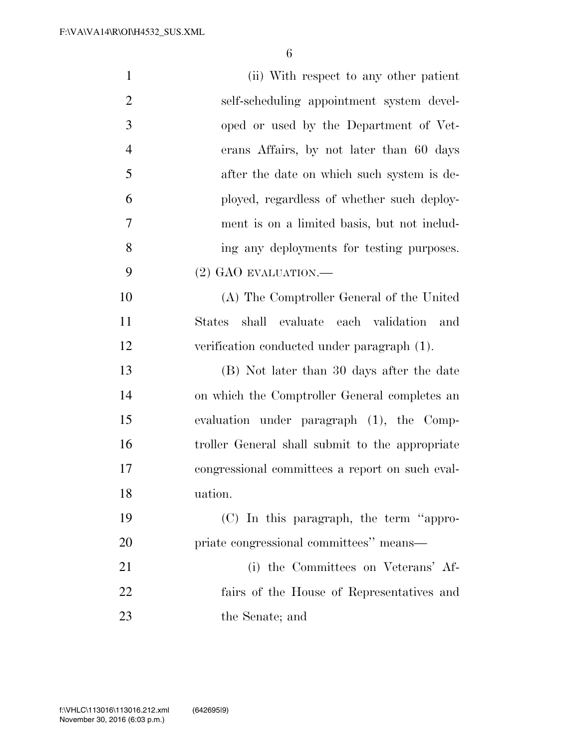| $\mathbf{1}$   | (ii) With respect to any other patient          |
|----------------|-------------------------------------------------|
| $\overline{2}$ | self-scheduling appointment system devel-       |
| 3              | oped or used by the Department of Vet-          |
| $\overline{4}$ | erans Affairs, by not later than 60 days        |
| 5              | after the date on which such system is de-      |
| 6              | ployed, regardless of whether such deploy-      |
| 7              | ment is on a limited basis, but not includ-     |
| 8              | ing any deployments for testing purposes.       |
| 9              | $(2)$ GAO EVALUATION.—                          |
| 10             | (A) The Comptroller General of the United       |
| 11             | shall evaluate each validation<br>and<br>States |
| 12             | verification conducted under paragraph (1).     |
| 13             | (B) Not later than 30 days after the date       |
| 14             | on which the Comptroller General completes an   |
| 15             | evaluation under paragraph (1), the Comp-       |
| 16             | troller General shall submit to the appropriate |
| 17             | congressional committees a report on such eval- |
| 18             | uation.                                         |
| 19             | (C) In this paragraph, the term "appro-         |
| 20             | priate congressional committees" means—         |
| 21             | (i) the Committees on Veterans' Af-             |
| 22             | fairs of the House of Representatives and       |
| 23             | the Senate; and                                 |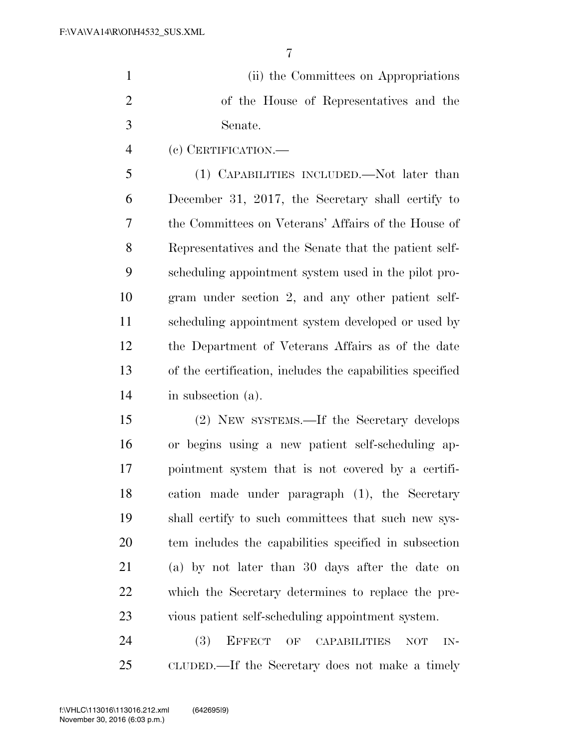| $\mathbf{1}$   | (ii) the Committees on Appropriations                     |
|----------------|-----------------------------------------------------------|
| $\overline{2}$ | of the House of Representatives and the                   |
| 3              | Senate.                                                   |
| $\overline{4}$ | (c) CERTIFICATION.—                                       |
| 5              | (1) CAPABILITIES INCLUDED.—Not later than                 |
| 6              | December 31, 2017, the Secretary shall certify to         |
| 7              | the Committees on Veterans' Affairs of the House of       |
| 8              | Representatives and the Senate that the patient self-     |
| 9              | scheduling appointment system used in the pilot pro-      |
| 10             | gram under section 2, and any other patient self-         |
| 11             | scheduling appointment system developed or used by        |
| 12             | the Department of Veterans Affairs as of the date         |
| 13             | of the certification, includes the capabilities specified |
| 14             | in subsection (a).                                        |
| 15             | (2) NEW SYSTEMS.—If the Secretary develops                |
| 16             | or begins using a new patient self-scheduling ap-         |
| 17             | pointment system that is not covered by a certifi-        |
| 18             | cation made under paragraph (1), the Secretary            |
| 19             | shall certify to such committees that such new sys-       |
| 20             | tem includes the capabilities specified in subsection     |

 (a) by not later than 30 days after the date on which the Secretary determines to replace the pre-vious patient self-scheduling appointment system.

24 (3) EFFECT OF CAPABILITIES NOT IN-CLUDED.—If the Secretary does not make a timely